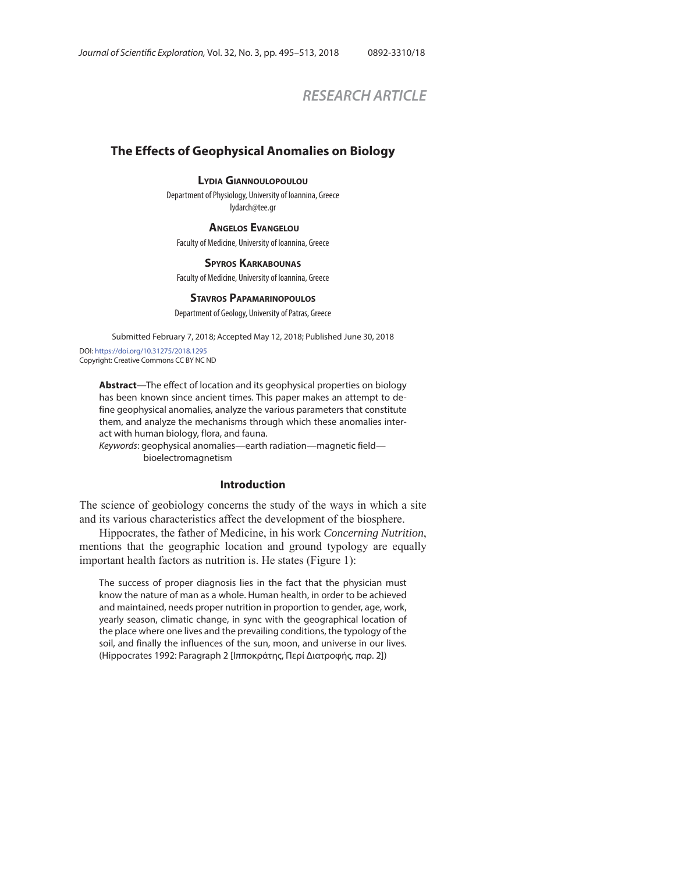# *RESEARCH ARTICLE*

# **The Effects of Geophysical Anomalies on Biology**

# **LYDIA GIANNOULOPOULOU**

Department of Physiology, University of Ioannina, Greece lydarch@tee.gr

### **ANGELOS EVANGELOU**

Faculty of Medicine, University of Ioannina, Greece

# **SPYROS KARKABOUNAS**

Faculty of Medicine, University of Ioannina, Greece

## **STAVROS PAPAMARINOPOULOS**

Department of Geology, University of Patras, Greece

Submitted February 7, 2018; Accepted May 12, 2018; Published June 30, 2018

DOI: https://doi.org/10.31275/2018.1295 Copyright: Creative Commons CC BY NC ND

> **Abstract**—The effect of location and its geophysical properties on biology has been known since ancient times. This paper makes an attempt to define geophysical anomalies, analyze the various parameters that constitute them, and analyze the mechanisms through which these anomalies interact with human biology, flora, and fauna.

Keywords: geophysical anomalies—earth radiation—magnetic field bioelectromagnetism

#### **Introduction**

The science of geobiology concerns the study of the ways in which a site and its various characteristics affect the development of the biosphere.

Hippocrates, the father of Medicine, in his work *Concerning Nutrition*, mentions that the geographic location and ground typology are equally important health factors as nutrition is. He states (Figure 1):

The success of proper diagnosis lies in the fact that the physician must know the nature of man as a whole. Human health, in order to be achieved and maintained, needs proper nutrition in proportion to gender, age, work, yearly season, climatic change, in sync with the geographical location of the place where one lives and the prevailing conditions, the typology of the soil, and finally the influences of the sun, moon, and universe in our lives. (Hippocrates 1992: Paragraph 2 [Ιπποκράτης, Περί Διατροφής, παρ. 2])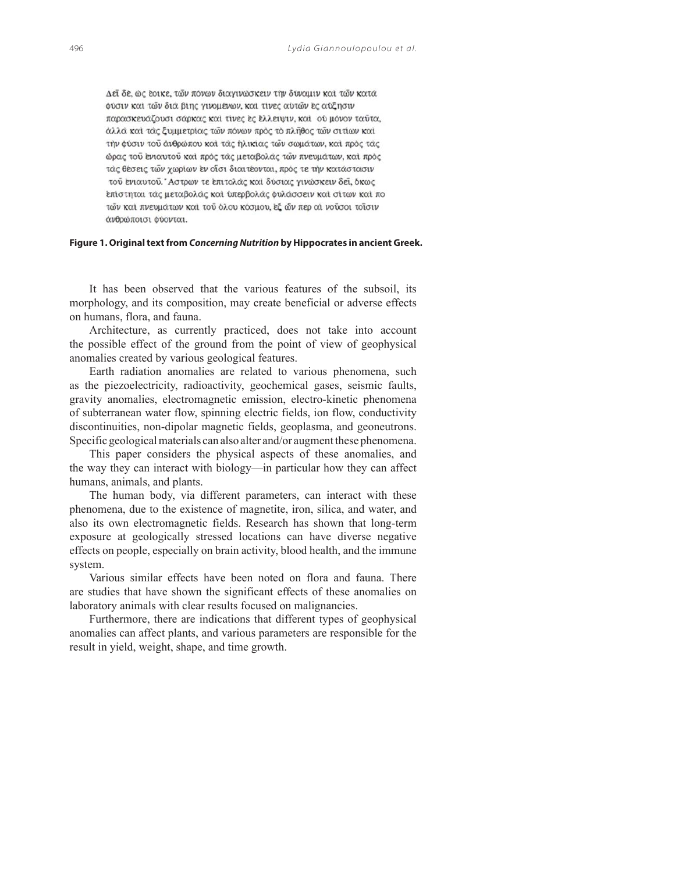Δεϊ δε, ώς εοικε, των πόνων διαγινώσκειν την δύναμιν και των κατά φύσιν και των διά βιης γινομένων, και τίνες αυτών ες αυξησιν παρασκευάζουσι σάρκας και τίνες ες ελλειψιν, και ού μόνον ταύτα, άλλα και τας ξυμμετρίας των πόνων πρός το πλήθος των σιτίων και την φύσιν του άνθρώπου και τάς ήλικιας των σωμάτων, και πρός τάς ώρας του ενιαυτου και πρός τάς μεταβολάς των πνευμάτων, και πρός τάς θέσεις των χωρίων εν οΐσι διαιτέονται, πρός τε την κατάστασιν τού ενιαυτού. Αστρων τε επιτολάς και δύσιας γινώσκειν δεϊ, όκως επίστηται τάς μεταβολάς και υπερβολάς φυλάσσειν και σίτων και πο τών και πνευμάτων και του όλου κόσμου, εξ ών περ αι νούσοι τοίσιν άνθρώποισι φύονται.

#### **Figure 1. Original text from Concerning Nutrition by Hippocrates in ancient Greek.**

It has been observed that the various features of the subsoil, its morphology, and its composition, may create beneficial or adverse effects on humans, flora, and fauna.

Architecture, as currently practiced, does not take into account the possible effect of the ground from the point of view of geophysical anomalies created by various geological features.

Earth radiation anomalies are related to various phenomena, such as the piezoelectricity, radioactivity, geochemical gases, seismic faults, gravity anomalies, electromagnetic emission, electro-kinetic phenomena of subterranean water flow, spinning electric fields, ion flow, conductivity discontinuities, non-dipolar magnetic fields, geoplasma, and geoneutrons. Specific geological materials can also alter and/or augment these phenomena.

This paper considers the physical aspects of these anomalies, and the way they can interact with biology—in particular how they can affect humans, animals, and plants.

The human body, via different parameters, can interact with these phenomena, due to the existence of magnetite, iron, silica, and water, and also its own electromagnetic fields. Research has shown that long-term exposure at geologically stressed locations can have diverse negative effects on people, especially on brain activity, blood health, and the immune system.

Various similar effects have been noted on flora and fauna. There are studies that have shown the significant effects of these anomalies on laboratory animals with clear results focused on malignancies.

Furthermore, there are indications that different types of geophysical anomalies can affect plants, and various parameters are responsible for the result in yield, weight, shape, and time growth.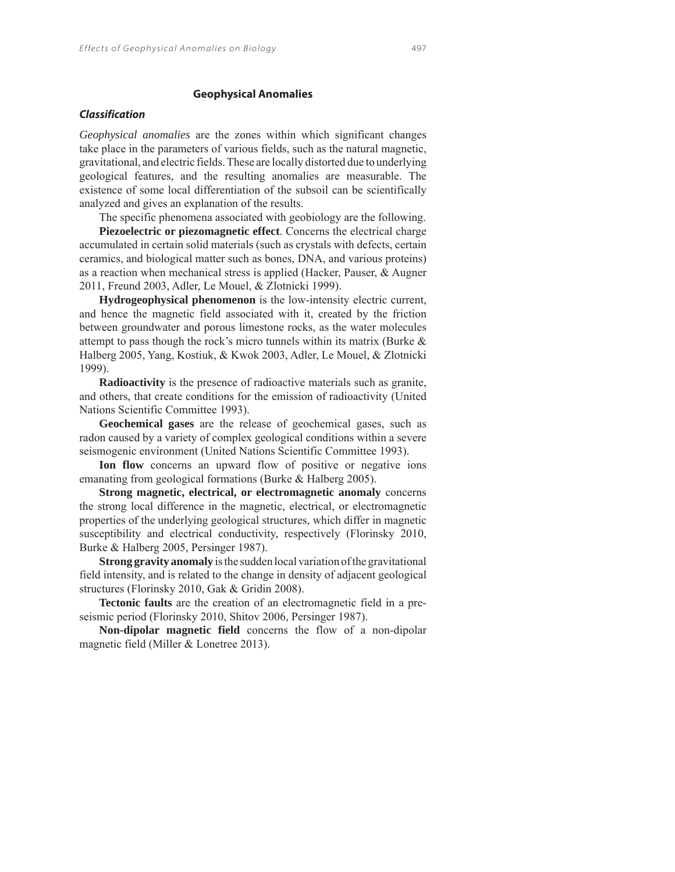### **Geophysical Anomalies**

# **Classification**

*Geophysical anomalies* are the zones within which significant changes take place in the parameters of various fields, such as the natural magnetic, gravitational, and electric fields. These are locally distorted due to underlying geological features, and the resulting anomalies are measurable. The existence of some local differentiation of the subsoil can be scientifically analyzed and gives an explanation of the results.

The specific phenomena associated with geobiology are the following.

**Piezoelectric or piezomagnetic effect**. Concerns the electrical charge accumulated in certain solid materials (such as crystals with defects, certain ceramics, and biological matter such as bones, DNA, and various proteins) as a reaction when mechanical stress is applied (Hacker, Pauser, & Augner 2011, Freund 2003, Adler, Le Mouel, & Zlotnicki 1999).

**Hydrogeophysical phenomenon** is the low-intensity electric current, and hence the magnetic field associated with it, created by the friction between groundwater and porous limestone rocks, as the water molecules attempt to pass though the rock's micro tunnels within its matrix (Burke & Halberg 2005, Yang, Kostiuk, & Kwok 2003, Adler, Le Mouel, & Zlotnicki 1999).

**Radioactivity** is the presence of radioactive materials such as granite, and others, that create conditions for the emission of radioactivity (United Nations Scientific Committee 1993).

**Geochemical gases** are the release of geochemical gases, such as radon caused by a variety of complex geological conditions within a severe seismogenic environment (United Nations Scientific Committee 1993).

Ion flow concerns an upward flow of positive or negative ions emanating from geological formations (Burke & Halberg 2005).

**Strong magnetic, electrical, or electromagnetic anomaly** concerns the strong local difference in the magnetic, electrical, or electromagnetic properties of the underlying geological structures, which differ in magnetic susceptibility and electrical conductivity, respectively (Florinsky 2010, Burke & Halberg 2005, Persinger 1987).

**Strong gravity anomaly** is the sudden local variation of the gravitational field intensity, and is related to the change in density of adjacent geological structures (Florinsky 2010, Gak & Gridin 2008).

**Tectonic faults** are the creation of an electromagnetic field in a preseismic period (Florinsky 2010, Shitov 2006, Persinger 1987).

**Non-dipolar magnetic field** concerns the flow of a non-dipolar magnetic field (Miller & Lonetree 2013).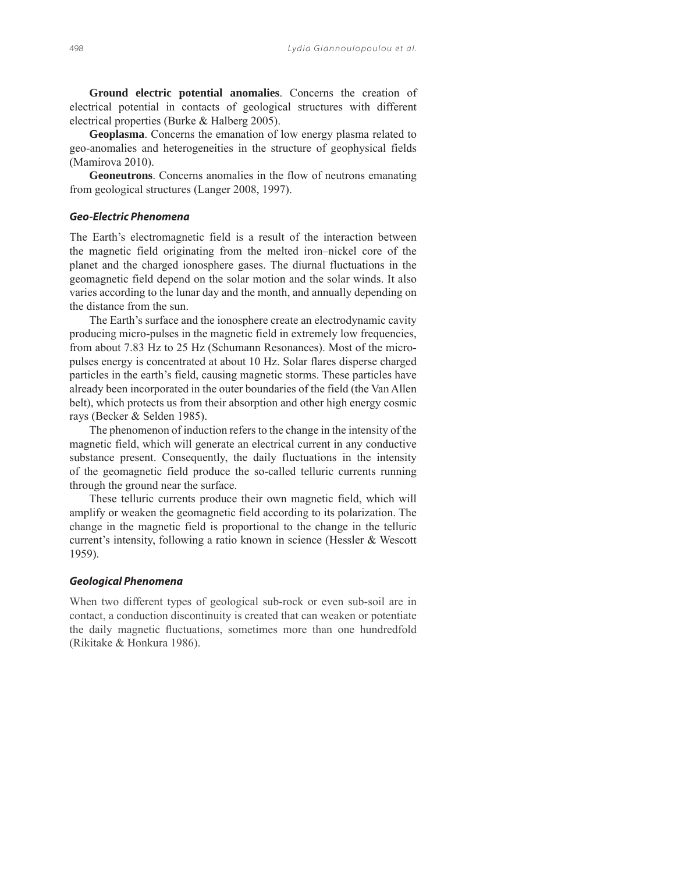**Ground electric potential anomalies**. Concerns the creation of electrical potential in contacts of geological structures with different electrical properties (Burke & Halberg 2005).

**Geoplasma**. Concerns the emanation of low energy plasma related to geo-anomalies and heterogeneities in the structure of geophysical fields (Mamirova 2010).

**Geoneutrons**. Concerns anomalies in the flow of neutrons emanating from geological structures (Langer 2008, 1997).

# **Geo-Electric Phenomena**

The Earth's electromagnetic field is a result of the interaction between the magnetic field originating from the melted iron–nickel core of the planet and the charged ionosphere gases. The diurnal fluctuations in the geomagnetic field depend on the solar motion and the solar winds. It also varies according to the lunar day and the month, and annually depending on the distance from the sun.

The Earth's surface and the ionosphere create an electrodynamic cavity producing micro-pulses in the magnetic field in extremely low frequencies, from about 7.83 Hz to 25 Hz (Schumann Resonances). Most of the micropulses energy is concentrated at about 10 Hz. Solar flares disperse charged particles in the earth's field, causing magnetic storms. These particles have already been incorporated in the outer boundaries of the field (the Van Allen belt), which protects us from their absorption and other high energy cosmic rays (Becker & Selden 1985).

The phenomenon of induction refers to the change in the intensity of the magnetic field, which will generate an electrical current in any conductive substance present. Consequently, the daily fluctuations in the intensity of the geomagnetic field produce the so-called telluric currents running through the ground near the surface.

These telluric currents produce their own magnetic field, which will amplify or weaken the geomagnetic field according to its polarization. The change in the magnetic field is proportional to the change in the telluric current's intensity, following a ratio known in science (Hessler & Wescott 1959).

# **Geological Phenomena**

When two different types of geological sub-rock or even sub-soil are in contact, a conduction discontinuity is created that can weaken or potentiate the daily magnetic fluctuations, sometimes more than one hundredfold (Rikitake & Honkura 1986).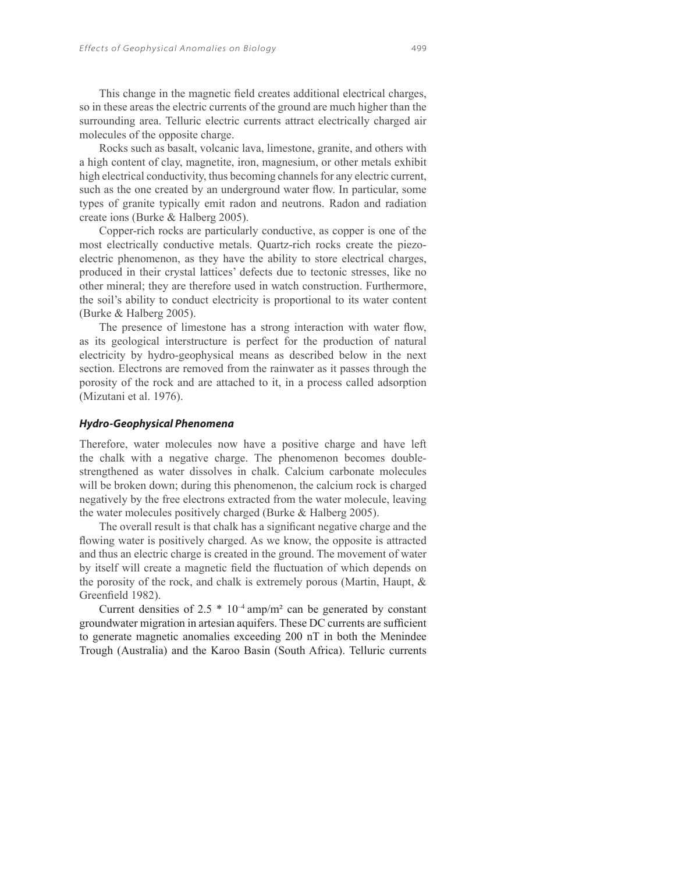This change in the magnetic field creates additional electrical charges, so in these areas the electric currents of the ground are much higher than the surrounding area. Telluric electric currents attract electrically charged air molecules of the opposite charge.

Rocks such as basalt, volcanic lava, limestone, granite, and others with a high content of clay, magnetite, iron, magnesium, or other metals exhibit high electrical conductivity, thus becoming channels for any electric current, such as the one created by an underground water flow. In particular, some types of granite typically emit radon and neutrons. Radon and radiation create ions (Burke & Halberg 2005).

Copper-rich rocks are particularly conductive, as copper is one of the most electrically conductive metals. Quartz-rich rocks create the piezoelectric phenomenon, as they have the ability to store electrical charges, produced in their crystal lattices' defects due to tectonic stresses, like no other mineral; they are therefore used in watch construction. Furthermore, the soil's ability to conduct electricity is proportional to its water content (Burke & Halberg 2005).

The presence of limestone has a strong interaction with water flow, as its geological interstructure is perfect for the production of natural electricity by hydro-geophysical means as described below in the next section. Electrons are removed from the rainwater as it passes through the porosity of the rock and are attached to it, in a process called adsorption (Μizutani et al. 1976).

#### **Hydro-Geophysical Phenomena**

Therefore, water molecules now have a positive charge and have left the chalk with a negative charge. The phenomenon becomes doublestrengthened as water dissolves in chalk. Calcium carbonate molecules will be broken down; during this phenomenon, the calcium rock is charged negatively by the free electrons extracted from the water molecule, leaving the water molecules positively charged (Burke & Halberg 2005).

The overall result is that chalk has a significant negative charge and the flowing water is positively charged. As we know, the opposite is attracted and thus an electric charge is created in the ground. The movement of water by itself will create a magnetic field the fluctuation of which depends on the porosity of the rock, and chalk is extremely porous (Martin, Haupt, & Greenfield 1982).

Current densities of 2.5  $*$  10<sup>-4</sup> amp/m<sup>2</sup> can be generated by constant groundwater migration in artesian aquifers. These DC currents are sufficient to generate magnetic anomalies exceeding 200 nT in both the Menindee Trough (Australia) and the Karoo Basin (South Africa). Telluric currents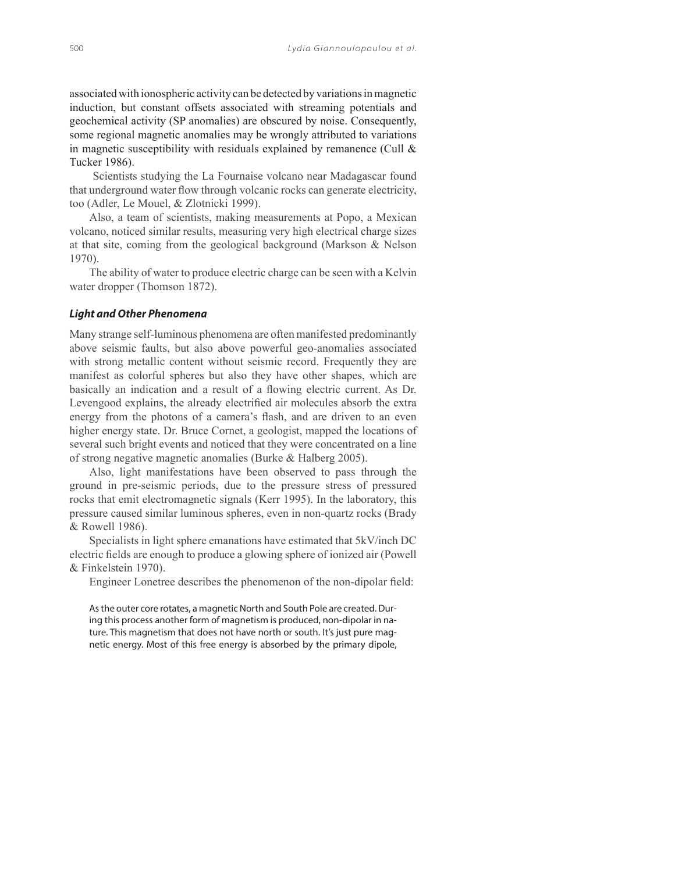associated with ionospheric activity can be detected by variations in magnetic induction, but constant offsets associated with streaming potentials and geochemical activity (SP anomalies) are obscured by noise. Consequently, some regional magnetic anomalies may be wrongly attributed to variations in magnetic susceptibility with residuals explained by remanence (Cull  $\&$ Tucker 1986).

 Scientists studying the La Fournaise volcano near Madagascar found that underground water flow through volcanic rocks can generate electricity, too (Adler, Le Mouel, & Zlotnicki 1999).

Also, a team of scientists, making measurements at Popo, a Mexican volcano, noticed similar results, measuring very high electrical charge sizes at that site, coming from the geological background (Markson & Nelson 1970).

The ability of water to produce electric charge can be seen with a Kelvin water dropper (Thomson 1872).

# **Light and Other Phenomena**

Many strange self-luminous phenomena are often manifested predominantly above seismic faults, but also above powerful geo-anomalies associated with strong metallic content without seismic record. Frequently they are manifest as colorful spheres but also they have other shapes, which are basically an indication and a result of a flowing electric current. As Dr. Levengood explains, the already electrified air molecules absorb the extra energy from the photons of a camera's flash, and are driven to an even higher energy state. Dr. Bruce Cornet, a geologist, mapped the locations of several such bright events and noticed that they were concentrated on a line of strong negative magnetic anomalies (Burke & Halberg 2005).

Also, light manifestations have been observed to pass through the ground in pre-seismic periods, due to the pressure stress of pressured rocks that emit electromagnetic signals (Kerr 1995). In the laboratory, this pressure caused similar luminous spheres, even in non-quartz rocks (Brady & Rowell 1986).

Specialists in light sphere emanations have estimated that 5kV/inch DC electric fields are enough to produce a glowing sphere of ionized air (Powell) & Finkelstein 1970).

Engineer Lonetree describes the phenomenon of the non-dipolar field:

As the outer core rotates, a magnetic North and South Pole are created. During this process another form of magnetism is produced, non-dipolar in nature. This magnetism that does not have north or south. It's just pure magnetic energy. Most of this free energy is absorbed by the primary dipole,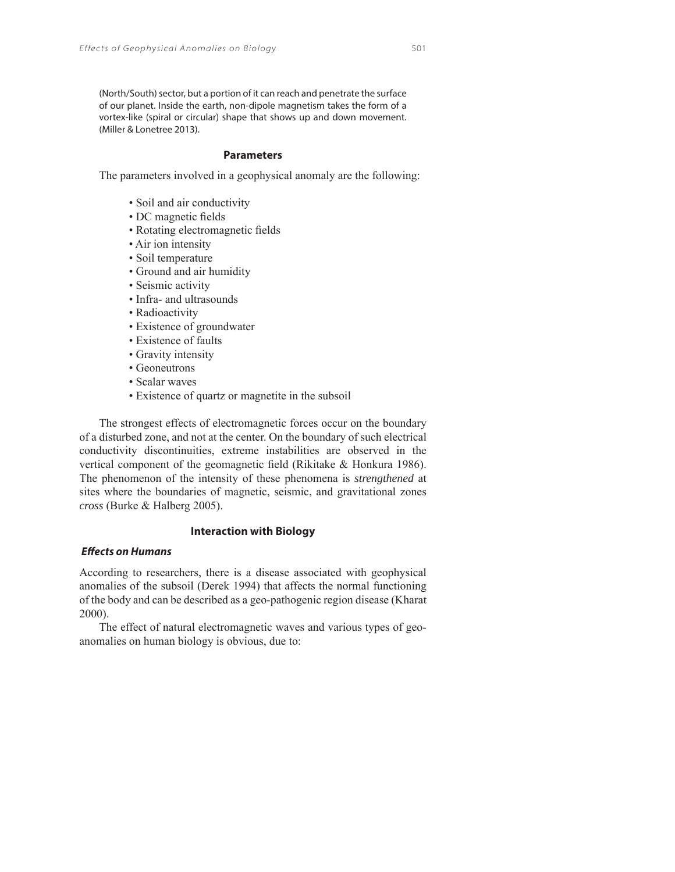(North/South) sector, but a portion of it can reach and penetrate the surface of our planet. Inside the earth, non-dipole magnetism takes the form of a vortex-like (spiral or circular) shape that shows up and down movement. (Miller & Lonetree 2013).

#### **Parameters**

The parameters involved in a geophysical anomaly are the following:

- Soil and air conductivity
- DC magnetic fields
- Rotating electromagnetic fields
- Air ion intensity
- Soil temperature
- Ground and air humidity
- Seismic activity
- Infra- and ultrasounds
- Radioactivity
- Existence of groundwater
- Existence of faults
- Gravity intensity
- Geoneutrons
- Scalar waves
- Existence of quartz or magnetite in the subsoil

The strongest effects of electromagnetic forces occur on the boundary of a disturbed zone, and not at the center. On the boundary of such electrical conductivity discontinuities, extreme instabilities are observed in the vertical component of the geomagnetic field (Rikitake & Honkura 1986). The phenomenon of the intensity of these phenomena is *strengthened* at sites where the boundaries of magnetic, seismic, and gravitational zones *cross* (Burke & Halberg 2005).

# **Interaction with Biology**

# *Effects on Humans*

According to researchers, there is a disease associated with geophysical anomalies of the subsoil (Derek 1994) that affects the normal functioning of the body and can be described as a geo-pathogenic region disease (Kharat 2000).

The effect of natural electromagnetic waves and various types of geoanomalies on human biology is obvious, due to: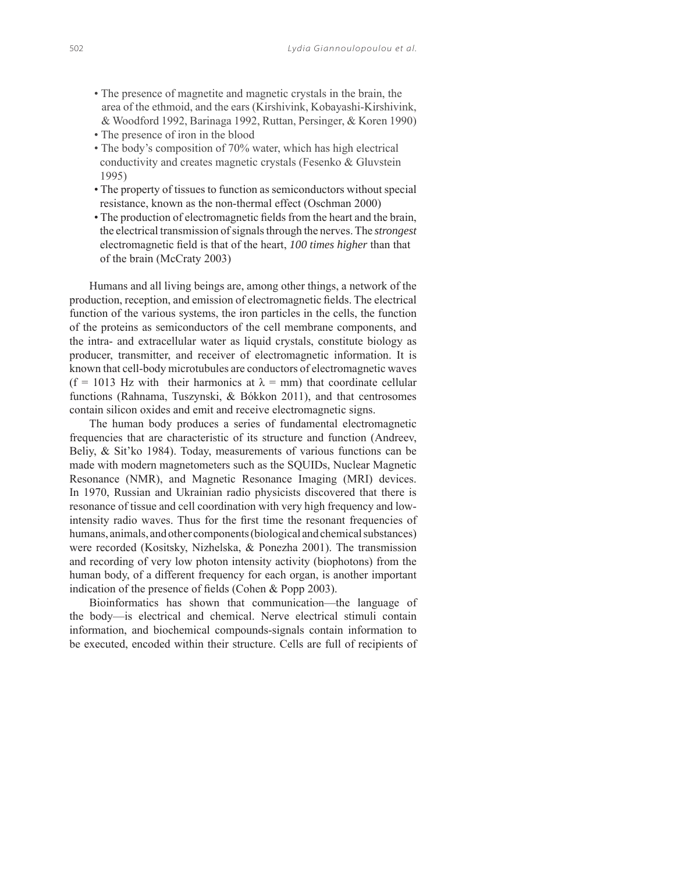- The presence of magnetite and magnetic crystals in the brain, the area of the ethmoid, and the ears (Kirshivink, Kobayashi-Kirshivink, & Woodford 1992, Barinaga 1992, Ruttan, Persinger, & Koren 1990)
- The presence of iron in the blood
- The body's composition of 70% water, which has high electrical conductivity and creates magnetic crystals (Fesenko & Gluvstein 1995)
- The property of tissues to function as semiconductors without special resistance, known as the non-thermal effect (Oschman 2000)
- The production of electromagnetic fields from the heart and the brain, the electrical transmission of signals through the nerves. The *strongest* electromagnetic field is that of the heart, 100 times higher than that of the brain (McCraty 2003)

Humans and all living beings are, among other things, a network of the production, reception, and emission of electromagnetic fields. The electrical function of the various systems, the iron particles in the cells, the function of the proteins as semiconductors of the cell membrane components, and the intra- and extracellular water as liquid crystals, constitute biology as producer, transmitter, and receiver of electromagnetic information. It is known that cell-body microtubules are conductors of electromagnetic waves (f = 1013 Hz with their harmonics at  $\lambda$  = mm) that coordinate cellular functions (Rahnama, Tuszynski, & Bókkon 2011), and that centrosomes contain silicon oxides and emit and receive electromagnetic signs.

The human body produces a series of fundamental electromagnetic frequencies that are characteristic of its structure and function (Andreev, Beliy, & Sit'ko 1984). Today, measurements of various functions can be made with modern magnetometers such as the SQUIDs, Nuclear Magnetic Resonance (NMR), and Magnetic Resonance Imaging (MRI) devices. In 1970, Russian and Ukrainian radio physicists discovered that there is resonance of tissue and cell coordination with very high frequency and lowintensity radio waves. Thus for the first time the resonant frequencies of humans, animals, and other components (biological and chemical substances) were recorded (Kositsky, Nizhelska, & Ponezha 2001). The transmission and recording of very low photon intensity activity (biophotons) from the human body, of a different frequency for each organ, is another important indication of the presence of fields (Cohen  $&$  Popp 2003).

Bioinformatics has shown that communication—the language of the body—is electrical and chemical. Nerve electrical stimuli contain information, and biochemical compounds-signals contain information to be executed, encoded within their structure. Cells are full of recipients of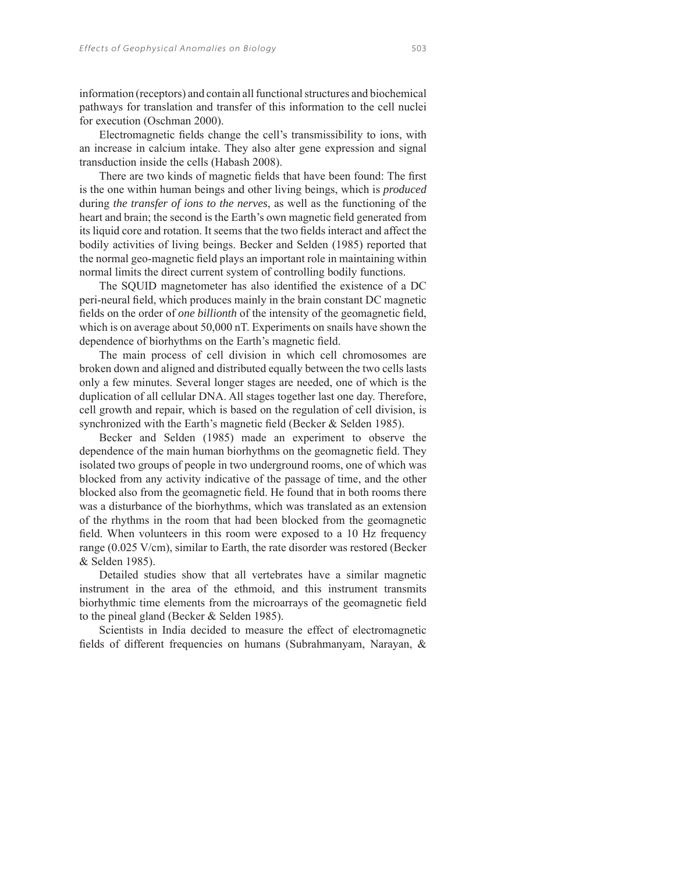information (receptors) and contain all functional structures and biochemical pathways for translation and transfer of this information to the cell nuclei for execution (Oschman 2000).

Electromagnetic fields change the cell's transmissibility to ions, with an increase in calcium intake. They also alter gene expression and signal transduction inside the cells (Habash 2008).

There are two kinds of magnetic fields that have been found: The first is the one within human beings and other living beings, which is *produced* during *the transfer of ions to the nerves*, as well as the functioning of the heart and brain; the second is the Earth's own magnetic field generated from its liquid core and rotation. It seems that the two fields interact and affect the bodily activities of living beings. Becker and Selden (1985) reported that the normal geo-magnetic field plays an important role in maintaining within normal limits the direct current system of controlling bodily functions.

The SQUID magnetometer has also identified the existence of a DC peri-neural field, which produces mainly in the brain constant DC magnetic fields on the order of *one billionth* of the intensity of the geomagnetic field, which is on average about 50,000 nT. Experiments on snails have shown the dependence of biorhythms on the Earth's magnetic field.

The main process of cell division in which cell chromosomes are broken down and aligned and distributed equally between the two cells lasts only a few minutes. Several longer stages are needed, one of which is the duplication of all cellular DNA. All stages together last one day. Therefore, cell growth and repair, which is based on the regulation of cell division, is synchronized with the Earth's magnetic field (Becker  $&$  Selden 1985).

Becker and Selden (1985) made an experiment to observe the dependence of the main human biorhythms on the geomagnetic field. They isolated two groups of people in two underground rooms, one of which was blocked from any activity indicative of the passage of time, and the other blocked also from the geomagnetic field. He found that in both rooms there was a disturbance of the biorhythms, which was translated as an extension of the rhythms in the room that had been blocked from the geomagnetic field. When volunteers in this room were exposed to a 10 Hz frequency range (0.025 V/cm), similar to Earth, the rate disorder was restored (Becker & Selden 1985).

Detailed studies show that all vertebrates have a similar magnetic instrument in the area of the ethmoid, and this instrument transmits biorhythmic time elements from the microarrays of the geomagnetic field to the pineal gland (Becker & Selden 1985).

Scientists in India decided to measure the effect of electromagnetic fields of different frequencies on humans (Subrahmanyam, Narayan, &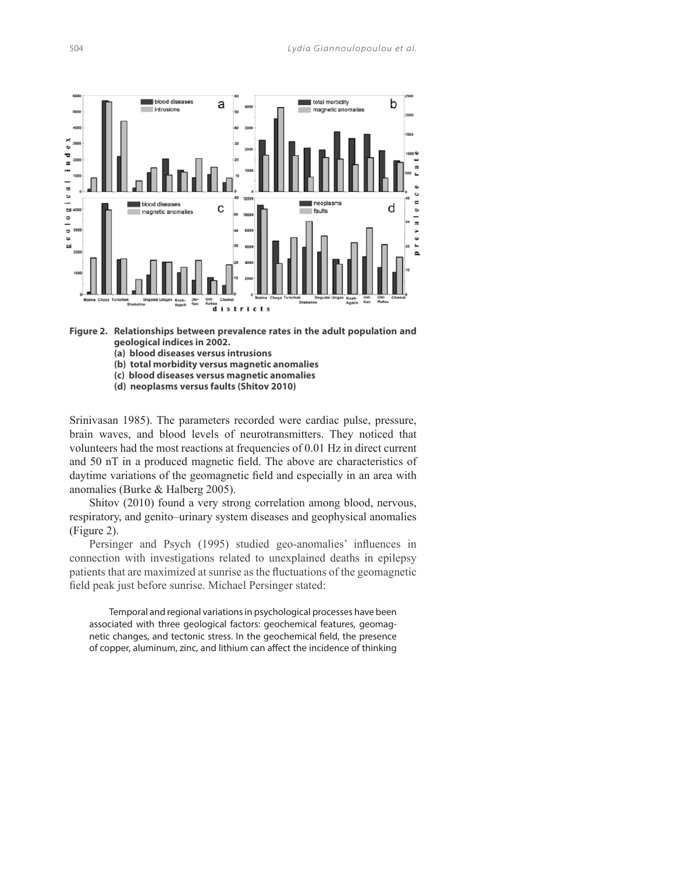

**Figure 2. Relationships between prevalence rates in the adult population and geological indices in 2002.**

- **(a) blood diseases versus intrusions**
- **(b) total morbidity versus magnetic anomalies**
- **(с) blood diseases versus magnetic anomalies**
- **(d) neoplasms versus faults (Shitov 2010)**

Srinivasan 1985). The parameters recorded were cardiac pulse, pressure, brain waves, and blood levels of neurotransmitters. They noticed that volunteers had the most reactions at frequencies of 0.01 Hz in direct current and 50 nT in a produced magnetic field. The above are characteristics of daytime variations of the geomagnetic field and especially in an area with anomalies (Burke & Halberg 2005).

Shitov (2010) found a very strong correlation among blood, nervous, respiratory, and genito–urinary system diseases and geophysical anomalies (Figure 2).

Persinger and Psych (1995) studied geo-anomalies' influences in connection with investigations related to unexplained deaths in epilepsy patients that are maximized at sunrise as the fluctuations of the geomagnetic field peak just before sunrise. Michael Persinger stated:

Temporal and regional variations in psychological processes have been associated with three geological factors: geochemical features, geomagnetic changes, and tectonic stress. In the geochemical field, the presence of copper, aluminum, zinc, and lithium can affect the incidence of thinking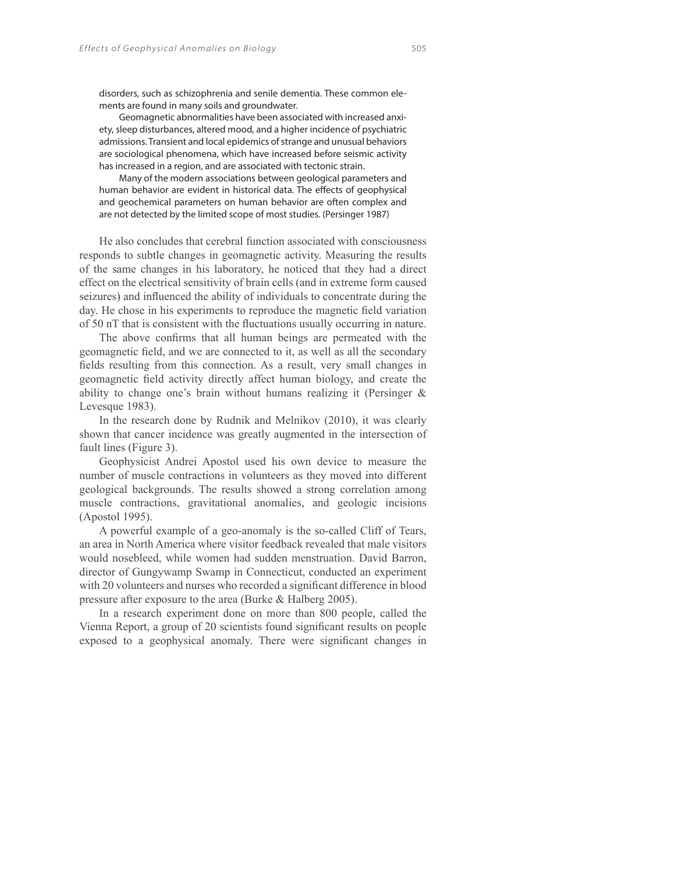disorders, such as schizophrenia and senile dementia. These common elements are found in many soils and groundwater.

Geomagnetic abnormalities have been associated with increased anxiety, sleep disturbances, altered mood, and a higher incidence of psychiatric admissions. Transient and local epidemics of strange and unusual behaviors are sociological phenomena, which have increased before seismic activity has increased in a region, and are associated with tectonic strain.

Many of the modern associations between geological parameters and human behavior are evident in historical data. The effects of geophysical and geochemical parameters on human behavior are often complex and are not detected by the limited scope of most studies. (Persinger 1987)

He also concludes that cerebral function associated with consciousness responds to subtle changes in geomagnetic activity. Measuring the results of the same changes in his laboratory, he noticed that they had a direct effect on the electrical sensitivity of brain cells (and in extreme form caused seizures) and influenced the ability of individuals to concentrate during the day. He chose in his experiments to reproduce the magnetic field variation of 50 nT that is consistent with the fluctuations usually occurring in nature.

The above confirms that all human beings are permeated with the geomagnetic field, and we are connected to it, as well as all the secondary fields resulting from this connection. As a result, very small changes in geomagnetic field activity directly affect human biology, and create the ability to change one's brain without humans realizing it (Persinger & Levesque 1983).

In the research done by Rudnik and Melnikov (2010), it was clearly shown that cancer incidence was greatly augmented in the intersection of fault lines (Figure 3).

Geophysicist Andrei Apostol used his own device to measure the number of muscle contractions in volunteers as they moved into different geological backgrounds. The results showed a strong correlation among muscle contractions, gravitational anomalies, and geologic incisions (Apostol 1995).

A powerful example of a geo-anomaly is the so-called Cliff of Tears, an area in North America where visitor feedback revealed that male visitors would nosebleed, while women had sudden menstruation. David Barron, director of Gungywamp Swamp in Connecticut, conducted an experiment with 20 volunteers and nurses who recorded a significant difference in blood pressure after exposure to the area (Burke & Halberg 2005).

In a research experiment done on more than 800 people, called the Vienna Report, a group of 20 scientists found significant results on people exposed to a geophysical anomaly. There were significant changes in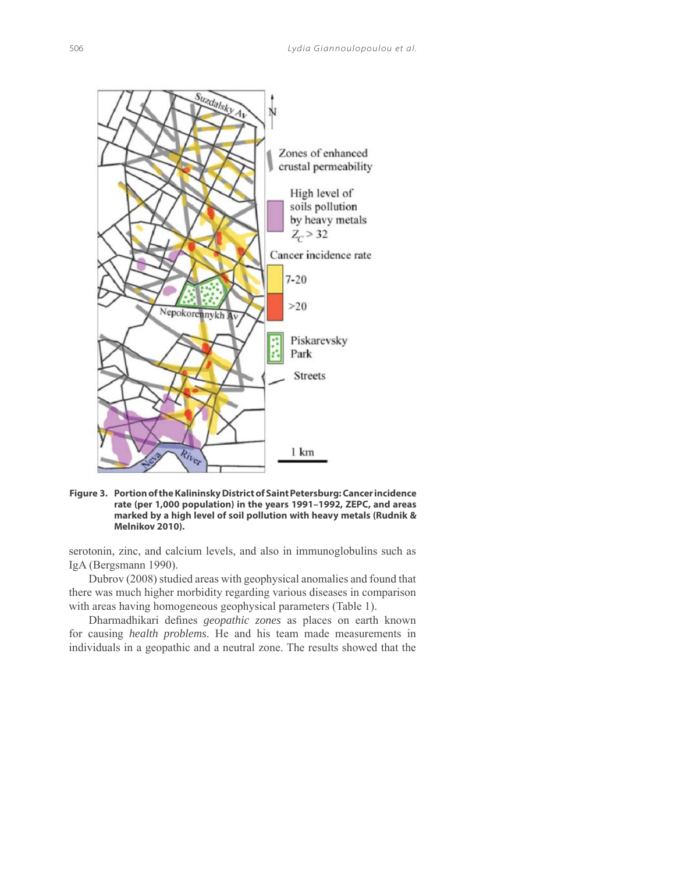



serotonin, zinc, and calcium levels, and also in immunoglobulins such as IgA (Bergsmann 1990).

Dubrov (2008) studied areas with geophysical anomalies and found that there was much higher morbidity regarding various diseases in comparison with areas having homogeneous geophysical parameters (Table 1).

Dharmadhikari defines *geopathic zones* as places on earth known for causing *health problems*. He and his team made measurements in individuals in a geopathic and a neutral zone. The results showed that the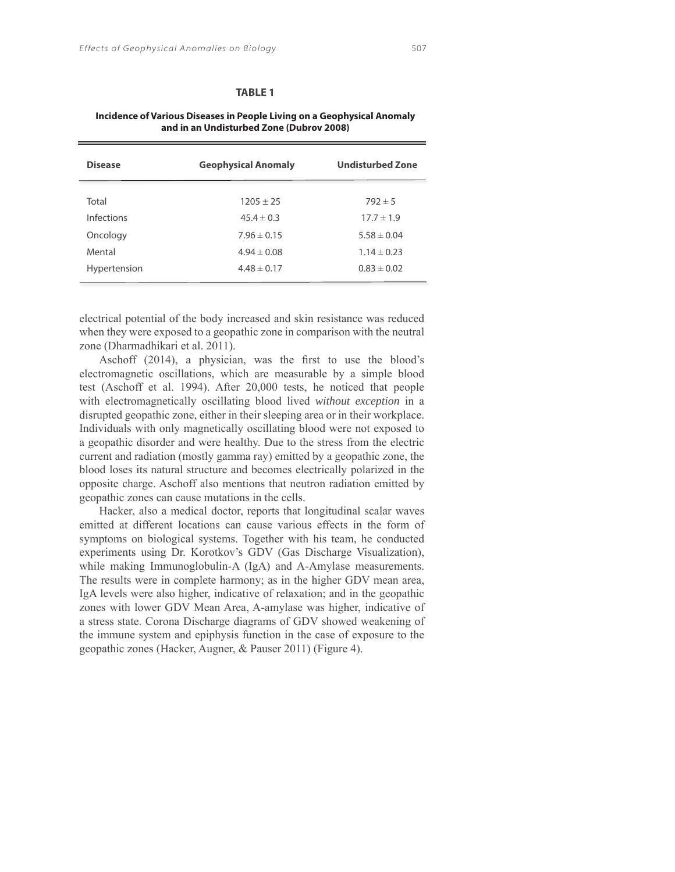| <b>Disease</b>    | <b>Geophysical Anomaly</b> | <b>Undisturbed Zone</b> |
|-------------------|----------------------------|-------------------------|
| Total             | $1205 \pm 25$              | $792 \pm 5$             |
| <b>Infections</b> | $45.4 \pm 0.3$             | $17.7 \pm 1.9$          |
| Oncology          | $7.96 \pm 0.15$            | $5.58 \pm 0.04$         |
| Mental            | $4.94 \pm 0.08$            | $1.14 \pm 0.23$         |
| Hypertension      | $4.48 \pm 0.17$            | $0.83 \pm 0.02$         |

### **Incidence of Various Diseases in People Living on a Geophysical Anomaly and in an Undisturbed Zone (Dubrov 2008)**

electrical potential of the body increased and skin resistance was reduced when they were exposed to a geopathic zone in comparison with the neutral zone (Dharmadhikari et al. 2011).

Aschoff  $(2014)$ , a physician, was the first to use the blood's electromagnetic oscillations, which are measurable by a simple blood test (Aschoff et al. 1994). After 20,000 tests, he noticed that people with electromagnetically oscillating blood lived *without exception* in a disrupted geopathic zone, either in their sleeping area or in their workplace. Individuals with only magnetically oscillating blood were not exposed to a geopathic disorder and were healthy. Due to the stress from the electric current and radiation (mostly gamma ray) emitted by a geopathic zone, the blood loses its natural structure and becomes electrically polarized in the opposite charge. Aschoff also mentions that neutron radiation emitted by geopathic zones can cause mutations in the cells.

Hacker, also a medical doctor, reports that longitudinal scalar waves emitted at different locations can cause various effects in the form of symptoms on biological systems. Together with his team, he conducted experiments using Dr. Korotkov's GDV (Gas Discharge Visualization), while making Immunoglobulin-A (IgA) and A-Amylase measurements. The results were in complete harmony; as in the higher GDV mean area, IgA levels were also higher, indicative of relaxation; and in the geopathic zones with lower GDV Mean Area, A-amylase was higher, indicative of a stress state. Corona Discharge diagrams of GDV showed weakening of the immune system and epiphysis function in the case of exposure to the geopathic zones (Hacker, Augner, & Pauser 2011) (Figure 4).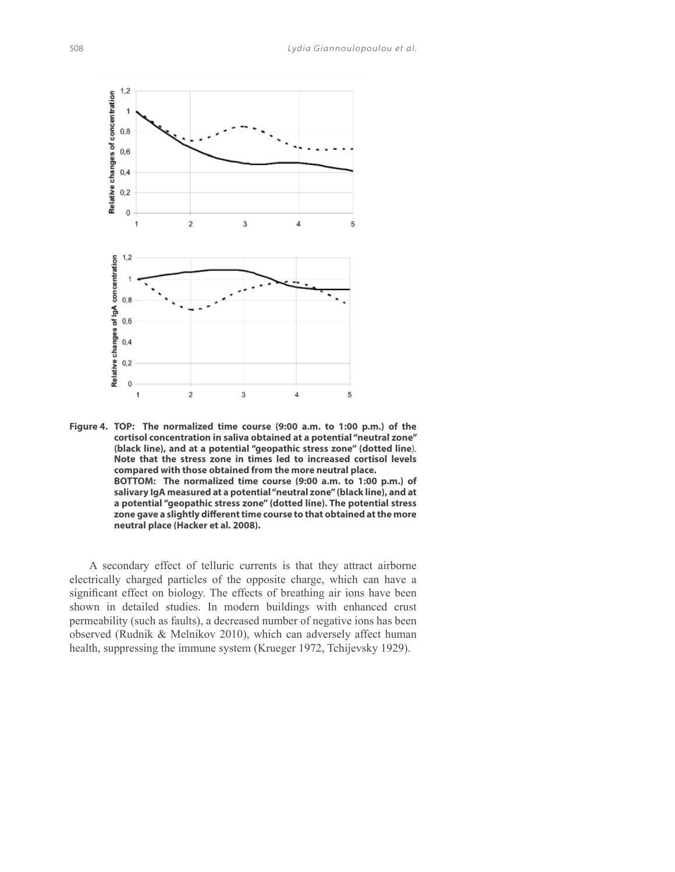

**Figure 4. TOP: The normalized time course (9:00 a.m. to 1:00 p.m.) of the cortisol concentration in saliva obtained at a potential "neutral zone" (black line), and at a potential "geopathic stress zone" (dotted line**). **Note that the stress zone in times led to increased cortisol levels compared with those obtained from the more neutral place. BOTTOM: The normalized time course (9:00 a.m. to 1:00 p.m.) of salivary IgA measured at a potential "neutral zone" (black line), and at a potential "geopathic stress zone" (dotted line). The potential stress**  zone gave a slightly different time course to that obtained at the more **neutral place (Hacker et al. 2008).** 

A secondary effect of telluric currents is that they attract airborne electrically charged particles of the opposite charge, which can have a significant effect on biology. The effects of breathing air ions have been shown in detailed studies. In modern buildings with enhanced crust permeability (such as faults), a decreased number of negative ions has been observed (Rudnik & Melnikov 2010), which can adversely affect human health, suppressing the immune system (Krueger 1972, Tchijevsky 1929).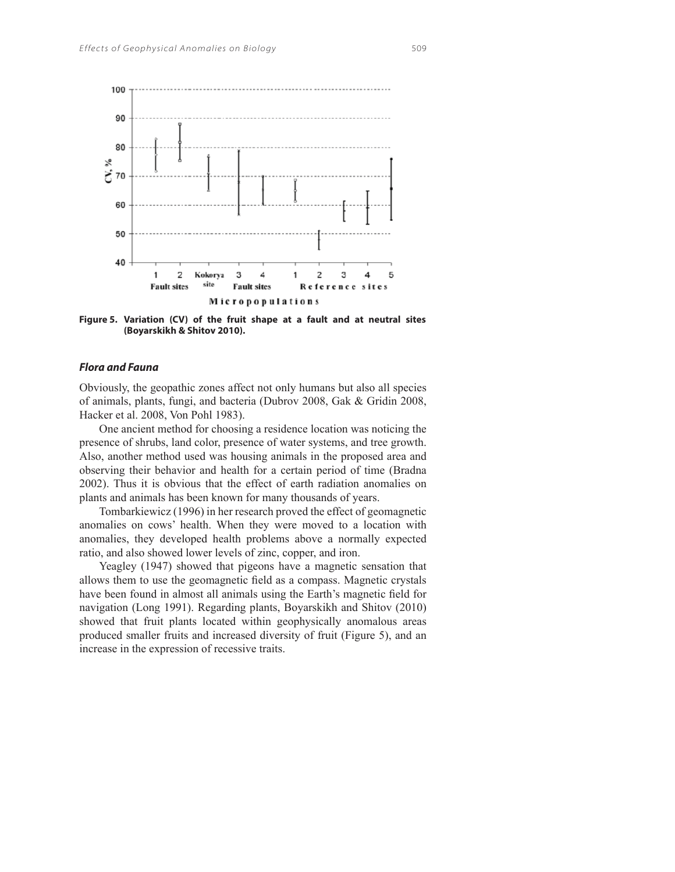

**Figure 5. Variation (CV) of the fruit shape at a fault and at neutral sites (Boyarskikh & Shitov 2010).**

# **Flora and Fauna**

Obviously, the geopathic zones affect not only humans but also all species of animals, plants, fungi, and bacteria (Dubrov 2008, Gak & Gridin 2008, Hacker et al. 2008, Von Pohl 1983).

One ancient method for choosing a residence location was noticing the presence of shrubs, land color, presence of water systems, and tree growth. Also, another method used was housing animals in the proposed area and observing their behavior and health for a certain period of time (Bradna 2002). Thus it is obvious that the effect of earth radiation anomalies on plants and animals has been known for many thousands of years.

Tombarkiewicz (1996) in her research proved the effect of geomagnetic anomalies on cows' health. When they were moved to a location with anomalies, they developed health problems above a normally expected ratio, and also showed lower levels of zinc, copper, and iron.

Yeagley (1947) showed that pigeons have a magnetic sensation that allows them to use the geomagnetic field as a compass. Magnetic crystals have been found in almost all animals using the Earth's magnetic field for navigation (Long 1991). Regarding plants, Boyarskikh and Shitov (2010) showed that fruit plants located within geophysically anomalous areas produced smaller fruits and increased diversity of fruit (Figure 5), and an increase in the expression of recessive traits.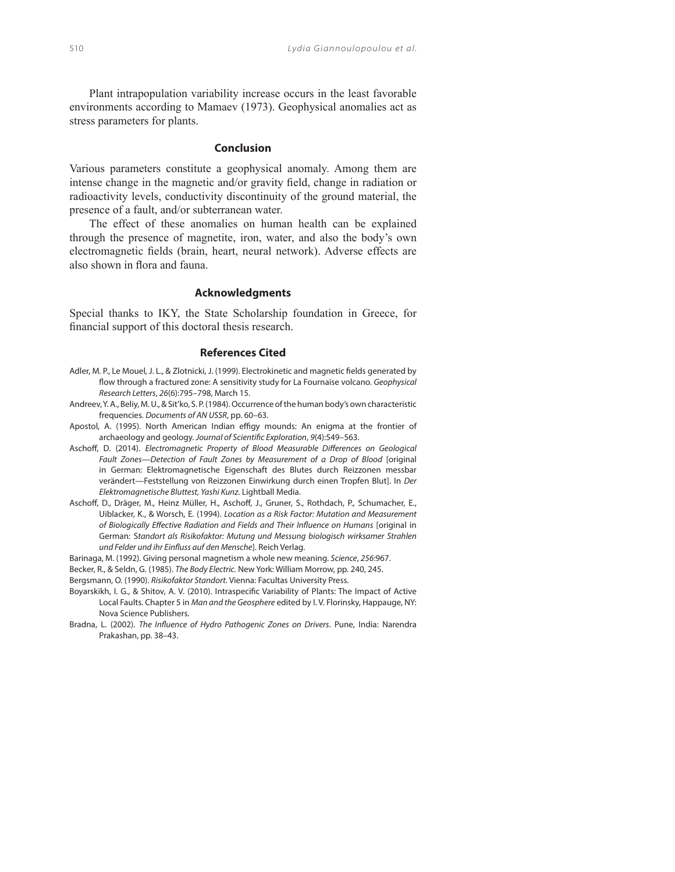Plant intrapopulation variability increase occurs in the least favorable environments according to Mamaev (1973). Geophysical anomalies act as stress parameters for plants.

# **Conclusion**

Various parameters constitute a geophysical anomaly. Among them are intense change in the magnetic and/or gravity field, change in radiation or radioactivity levels, conductivity discontinuity of the ground material, the presence of a fault, and/or subterranean water.

The effect of these anomalies on human health can be explained through the presence of magnetite, iron, water, and also the body's own electromagnetic fields (brain, heart, neural network). Adverse effects are also shown in flora and fauna.

#### **Acknowledgments**

Special thanks to IKY, the State Scholarship foundation in Greece, for financial support of this doctoral thesis research.

#### **References Cited**

- Adler, M. P., Le Mouel, J. L., & Zlotnicki, J. (1999). Electrokinetic and magnetic fields generated by flow through a fractured zone: A sensitivity study for La Fournaise volcano. Geophysical Research Letters, 26(6):795–798, March 15.
- Andreev, Y. A., Beliy, M. U., & Sit'ko, S. P. (1984). Occurrence of the human body's own characteristic frequencies. Documents of AN USSR, pp. 60–63.
- Apostol, A. (1995). North American Indian effigy mounds: An enigma at the frontier of archaeology and geology. Journal of Scientific Exploration, 9(4):549-563.
- Aschoff, D. (2014). Electromagnetic Property of Blood Measurable Differences on Geological Fault Zones—Detection of Fault Zones by Measurement of a Drop of Blood [original in German: Elektromagnetische Eigenschaft des Blutes durch Reizzonen messbar verändert—Feststellung von Reizzonen Einwirkung durch einen Tropfen Blut]. In Der Elektromagnetische Bluttest, Yashi Kunz. Lightball Media.
- Aschoff, D., Dräger, M., Heinz Müller, H., Aschoff, J., Gruner, S., Rothdach, P., Schumacher, E., Uiblacker, K., & Worsch, E. (1994). Location as a Risk Factor: Mutation and Measurement of Biologically Effective Radiation and Fields and Their Influence on Humans [original in German: Standort als Risikofaktor: Mutung und Messung biologisch wirksamer Strahlen und Felder und ihr Einfluss auf den Mensche]. Reich Verlag.
- Barinaga, M. (1992). Giving personal magnetism a whole new meaning. Science, 256:967.
- Becker, R., & Seldn, G. (1985). The Body Electric. New York: William Morrow, pp. 240, 245.

Bergsmann, O. (1990). Risikofaktor Standort. Vienna: Facultas University Press.

- Boyarskikh, I. G., & Shitov, A. V. (2010). Intraspecific Variability of Plants: The Impact of Active Local Faults. Chapter 5 in Man and the Geosphere edited by I. V. Florinsky, Happauge, NY: Nova Science Publishers.
- Bradna, L. (2002). The Influence of Hydro Pathogenic Zones on Drivers. Pune, India: Narendra Prakashan, pp. 38–43.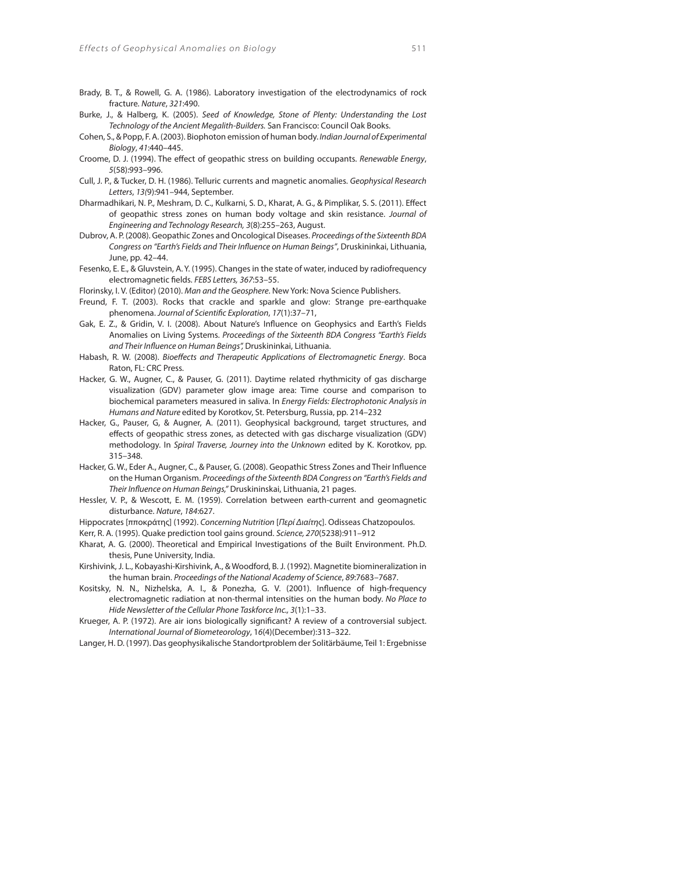- Brady, B. T., & Rowell, G. A. (1986). Laboratory investigation of the electrodynamics of rock fracture. Nature, 321:490.
- Burke, J., & Halberg, K. (2005). Seed of Knowledge, Stone of Plenty: Understanding the Lost Technology of the Ancient Megalith-Builders. San Francisco: Council Oak Books.
- Cohen, S., & Popp, F. A. (2003). Biophoton emission of human body. Indian Journal of Experimental Biology, 41:440–445.
- Croome, D. J. (1994). The effect of geopathic stress on building occupants. Renewable Energy, 5(58):993–996.
- Cull, J. P., & Tucker, D. H. (1986). Telluric currents and magnetic anomalies. Geophysical Research Letters, 13(9):941–944, September.
- Dharmadhikari, N. P., Meshram, D. C., Kulkarni, S. D., Kharat, A. G., & Pimplikar, S. S. (2011). Effect of geopathic stress zones on human body voltage and skin resistance. Journal of Engineering and Technology Research, 3(8):255–263, August.
- Dubrov, A. P. (2008). Geopathic Zones and Oncological Diseases. Proceedings of the Sixteenth BDA Congress on "Earth's Fields and Their Influence on Human Beings", Druskininkai, Lithuania, June, pp. 42–44.
- Fesenko, E. E., & Gluvstein, A. Y. (1995). Changes in the state of water, induced by radiofrequency electromagnetic fields. FEBS Letters, 367:53-55.
- Florinsky, I. V. (Editor) (2010). Man and the Geosphere. New York: Nova Science Publishers.
- Freund, F. T. (2003). Rocks that crackle and sparkle and glow: Strange pre-earthquake phenomena. Journal of Scientific Exploration, 17(1):37-71,
- Gak, E. Z., & Gridin, V. I. (2008). About Nature's Influence on Geophysics and Earth's Fields Anomalies on Living Systems. Proceedings of the Sixteenth BDA Congress "Earth's Fields and Their Influence on Human Beings", Druskininkai, Lithuania.
- Habash, R. W. (2008). Bioeffects and Therapeutic Applications of Electromagnetic Energy. Boca Raton, FL: CRC Press.
- Hacker, G. W., Augner, C., & Pauser, G. (2011). Daytime related rhythmicity of gas discharge visualization (GDV) parameter glow image area: Time course and comparison to biochemical parameters measured in saliva. In Energy Fields: Electrophotonic Analysis in Humans and Nature edited by Korotkov, St. Petersburg, Russia, pp. 214–232
- Hacker, G., Pauser, G, & Augner, A. (2011). Geophysical background, target structures, and effects of geopathic stress zones, as detected with gas discharge visualization (GDV) methodology. In Spiral Traverse, Journey into the Unknown edited by K. Korotkov, pp. 315–348.
- Hacker, G. W., Eder A., Augner, C., & Pauser, G. (2008). Geopathic Stress Zones and Their Influence on the Human Organism. Proceedings of the Sixteenth BDA Congress on "Earth's Fields and Their Influence on Human Beings," Druskininskai, Lithuania, 21 pages.
- Hessler, V. P., & Wescott, E. M. (1959). Correlation between earth-current and geomagnetic disturbance. Nature, 184:627.
- Hippocrates [πποκράτης] (1992). Concerning Nutrition [Περί Διαίτης]. Odisseas Chatzopoulos.
- Kerr, R. A. (1995). Quake prediction tool gains ground. Science, 270(5238):911–912
- Kharat, A. G. (2000). Theoretical and Empirical Investigations of the Built Environment. Ph.D. thesis, Pune University, India.
- Kirshivink, J. L., Kobayashi-Kirshivink, A., & Woodford, B. J. (1992). Magnetite biomineralization in the human brain. Proceedings of the National Academy of Science, 89:7683–7687.
- Kositsky, N. N., Nizhelska, A. I., & Ponezha, G. V. (2001). Influence of high-frequency electromagnetic radiation at non-thermal intensities on the human body. No Place to Hide Newsletter of the Cellular Phone Taskforce Inc., 3(1):1–33.
- Krueger, A. P. (1972). Are air ions biologically significant? A review of a controversial subject. International Journal of Biometeorology, 16(4)(December):313–322.
- Langer, H. D. (1997). Das geophysikalische Standortproblem der Solitärbäume, Teil 1: Ergebnisse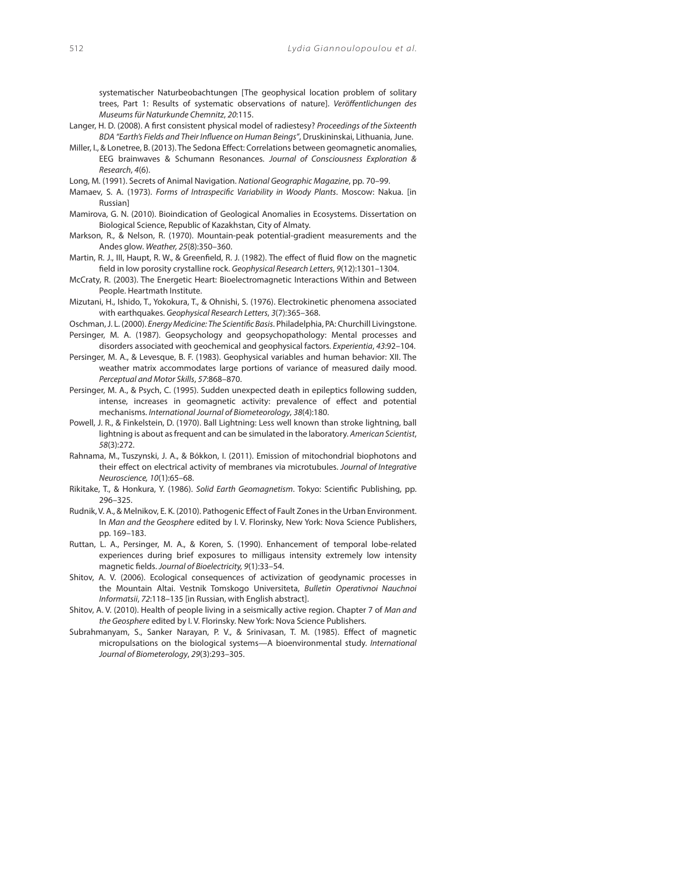systematischer Naturbeobachtungen [The geophysical location problem of solitary trees, Part 1: Results of systematic observations of nature]. Veröffentlichungen des Museums für Naturkunde Chemnitz, 20:115.

- Langer, H. D. (2008). A first consistent physical model of radiestesy? Proceedings of the Sixteenth BDA "Earth's Fields and Their Influence on Human Beings", Druskininskai, Lithuania, June.
- Miller, I., & Lonetree, B. (2013). The Sedona Effect: Correlations between geomagnetic anomalies, EEG brainwaves & Schumann Resonances. Journal of Consciousness Exploration & Research, 4(6).
- Long, M. (1991). Secrets of Animal Navigation. National Geographic Magazine, pp. 70–99.
- Mamaev, S. A. (1973). Forms of Intraspecific Variability in Woody Plants. Moscow: Nakua. [in Russian]
- Mamirova, G. N. (2010). Bioindication of Geological Anomalies in Ecosystems. Dissertation on Biological Science, Republic of Kazakhstan, City of Almaty.
- Markson, R., & Nelson, R. (1970). Mountain-peak potential-gradient measurements and the Andes glow. Weather, 25(8):350–360.
- Martin, R. J., III, Haupt, R. W., & Greenfield, R. J. (1982). The effect of fluid flow on the magnetic field in low porosity crystalline rock. Geophysical Research Letters, 9(12):1301-1304.
- McCraty, R. (2003). The Energetic Heart: Bioelectromagnetic Interactions Within and Between People. Heartmath Institute.
- Mizutani, H., Ishido, T., Yokokura, T., & Ohnishi, S. (1976). Electrokinetic phenomena associated with earthquakes. Geophysical Research Letters, 3(7):365–368.
- Oschman, J. L. (2000). Energy Medicine: The Scientific Basis. Philadelphia, PA: Churchill Livingstone.
- Persinger, M. A. (1987). Geopsychology and geopsychopathology: Mental processes and disorders associated with geochemical and geophysical factors. Experientia, 43:92–104.
- Persinger, M. A., & Levesque, B. F. (1983). Geophysical variables and human behavior: XII. The weather matrix accommodates large portions of variance of measured daily mood. Perceptual and Motor Skills, 57:868–870.
- Persinger, M. A., & Psych, C. (1995). Sudden unexpected death in epileptics following sudden, intense, increases in geomagnetic activity: prevalence of effect and potential mechanisms. International Journal of Biometeorology, 38(4):180.
- Powell, J. R., & Finkelstein, D. (1970). Ball Lightning: Less well known than stroke lightning, ball lightning is about as frequent and can be simulated in the laboratory. American Scientist, 58(3):272.
- Rahnama, M., Tuszynski, J. A., & Bόkkon, I. (2011). Emission of mitochondrial biophotons and their effect on electrical activity of membranes via microtubules. Journal of Integrative Neuroscience, 10(1):65–68.
- Rikitake, T., & Honkura, Y. (1986). Solid Earth Geomagnetism. Tokyo: Scientific Publishing, pp. 296–325.
- Rudnik, V. A., & Melnikov, E. K. (2010). Pathogenic Effect of Fault Zones in the Urban Environment. In Man and the Geosphere edited by I. V. Florinsky, New York: Nova Science Publishers, pp. 169–183.
- Ruttan, L. A., Persinger, M. A., & Koren, S. (1990). Enhancement of temporal lobe-related experiences during brief exposures to milligaus intensity extremely low intensity magnetic fields. Journal of Bioelectricity, 9(1):33-54.
- Shitov, A. V. (2006). Ecological consequences of activization of geodynamic processes in the Mountain Altai. Vestnik Tomskogo Universiteta, Bulletin Operativnoi Nauchnoi Informatsii, 72:118–135 [in Russian, with English abstract].
- Shitov, A. V. (2010). Health of people living in a seismically active region. Chapter 7 of Man and the Geosphere edited by I. V. Florinsky. New York: Nova Science Publishers.
- Subrahmanyam, S., Sanker Narayan, P. V., & Srinivasan, T. M. (1985). Effect of magnetic micropulsations on the biological systems—A bioenvironmental study. International Journal of Biometerology, 29(3):293–305.